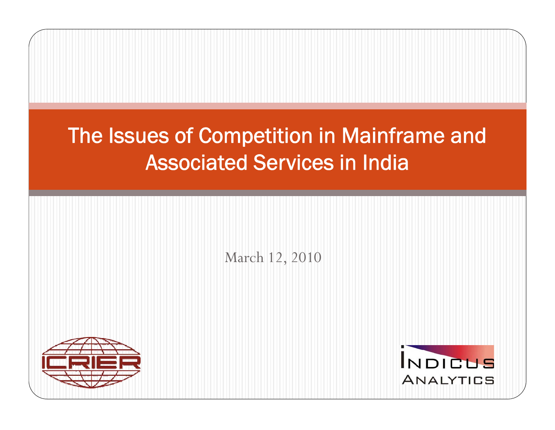### The Issues of Competition in Mainframe and Associated Services in India

March 12, 2010



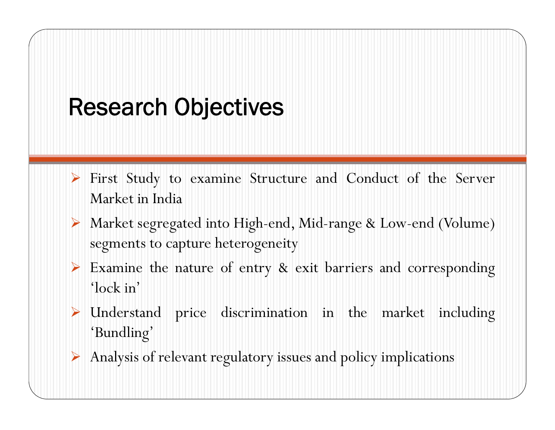### Research Objectives

- ¾ Firs t Stud y to examine Structure and Conduct of the Server Market in India
- ¾ Market segregated into High-end, Mid-range & Low-end (Volume) segments to capture heterogeneity
- ¾ Examine the nature of entry & exit barriers and corresponding 'lock in'
- ¾ Understand price discrimination in the market including 'Bundling'
- ¾ Analysis of relevant regulatory issues and policy implications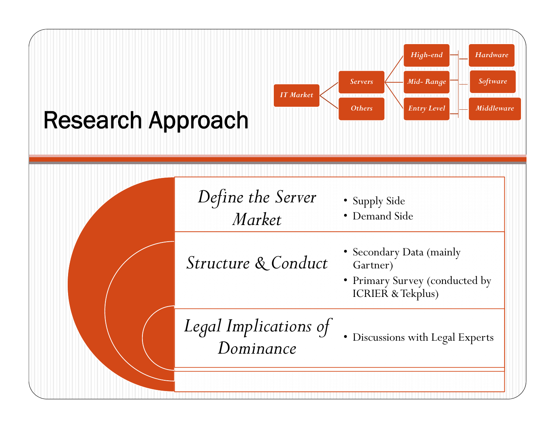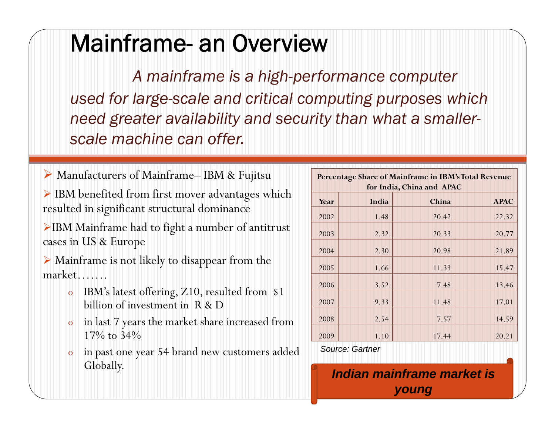### Mainframe- an Overview

*A mainframe is a high -performance computer used for large-scale and critical computing purposes which need greater availability and security than what a smallerscal hi ff l e machine canoffer.*

▶ Manufacturers of Mainframe– IBM & Fujitsu **Percentage Share of Mainframe in IBM's Total Revenue** 

¾ IBM benefited from first mover advantages which resulted in significant structural dominance

<sup>¾</sup>IBM Mainframe had to fight a number of antitrust cases in US & Europe

¾ Mainframe is not likely to disappear from the market…….

- o $\,$  IBM's latest offering, Z10, resulted from  $\,$  \$1  $\,$ billion of investment in R & D
- o in last 7 years the market share increased from 17% to 34%
- o in past one year 54 brand new customers added oin past one year 54 brand new customers added source: Gartner<br>Globally. **Indian mainframe market is**

|      | Percentage Share of Mainframe in IBM's Total Revenue<br>for India, China and APAC |       |             |  |  |  |  |  |
|------|-----------------------------------------------------------------------------------|-------|-------------|--|--|--|--|--|
| Year | India                                                                             | China | <b>APAC</b> |  |  |  |  |  |
| 2002 | 1.48                                                                              | 20.42 | 22.32       |  |  |  |  |  |
| 2003 | 2.32                                                                              | 20.33 | 20.77       |  |  |  |  |  |
| 2004 | 2.30                                                                              | 20.98 | 21.89       |  |  |  |  |  |
| 2005 | 1.66                                                                              | 11.33 | 15.47       |  |  |  |  |  |
| 2006 | 3.52                                                                              | 7.48  | 13.46       |  |  |  |  |  |
| 2007 | 9.33                                                                              | 11.48 | 17.01       |  |  |  |  |  |
| 2008 | 2.54                                                                              | 7.57  | 14.59       |  |  |  |  |  |
| 2009 | 1.10                                                                              | 17.44 | 20.21       |  |  |  |  |  |

*Source: Gartner*

Indian mainframe market is *young*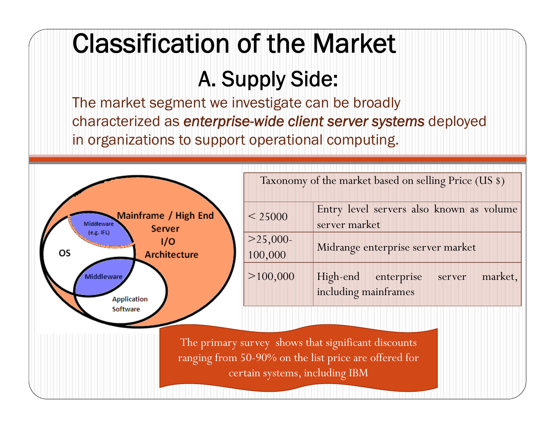# Classification of the Market

### A. Supply Side:

The market segment we investigate can be broadly characterized as *enterprise-wide client server systems* deployed in organizations to support operational computing.



|                    | Taxonomy of the market based on selling Price (US \$)         |
|--------------------|---------------------------------------------------------------|
| < 25000            | Entry level servers also known as volume<br>server market     |
| >25,000<br>100,000 | Midrange enterprise server market                             |
| >100,000           | server market,<br>High-end enterprise<br>including mainframes |

The primary survey shows that significant discounts ranging from 50-90% on the list price are offered for certain systems, including IBM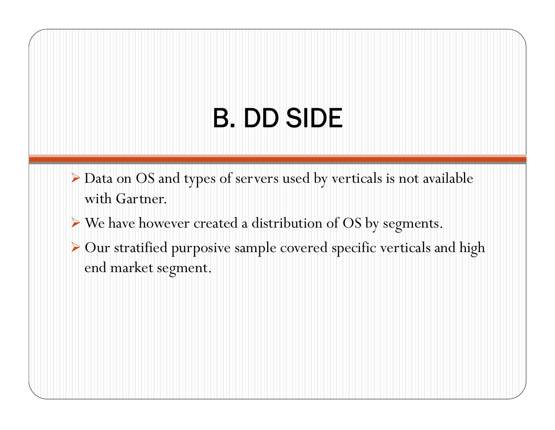# B. DD SIDE

- $\triangleright$  Data on OS and types of servers used by verticals is not available with Gartner.
- ¾ We have however created a distribution of OS by segments.
- $\triangleright$  Our stratified purposive sample covered specific verticals and high end market segment.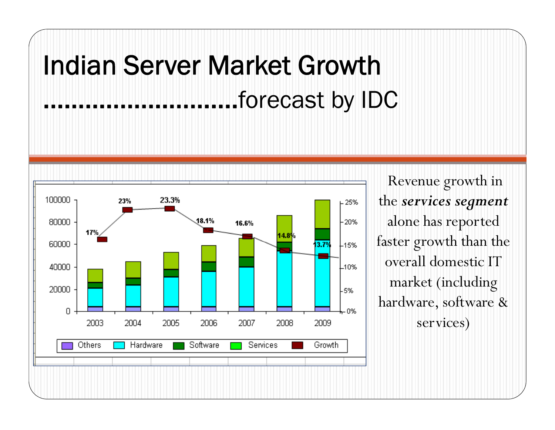# Indian Server Market Growth ……………………….forecast by IDC



Revenue growth in the *services segment*  alone has reported faster growth than the overall domestic IT market (including hardware, software & services)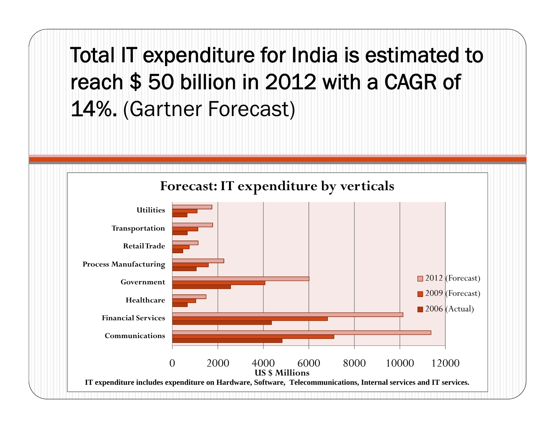Total IT expenditure for India is estimated to reach \$ 50 billion in 2012 with a CAGR of 14%. (Gartner Forecast)

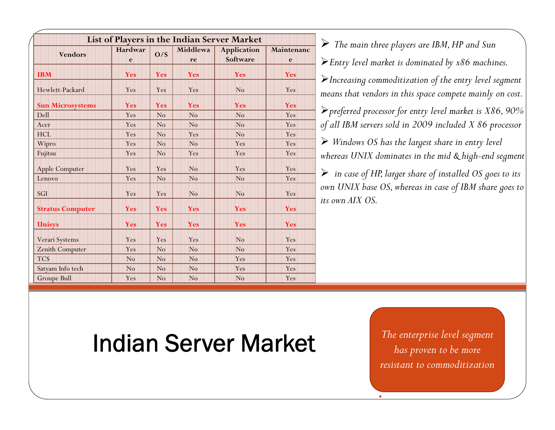|                         |            |                |                | List of Players in the Indian Server Market |            |                                                                             |
|-------------------------|------------|----------------|----------------|---------------------------------------------|------------|-----------------------------------------------------------------------------|
| <b>Vendors</b>          | Hardwar    | O/S            | Middlewa       | <b>Application</b>                          | Maintenanc | $\triangleright$ The main three players are IBM, HP and Sun                 |
|                         | e          |                | re             | Software                                    | e          | $\blacktriangleright$ Entry level market is dominated by x86 machines.      |
| <b>IBM</b>              | Yes        | <b>Yes</b>     | Yes            | Yes                                         | Yes        | $\blacktriangleright$ Increasing commoditization of the entry level segment |
| Hewlett-Packard         | Yes        | Yes            | Yes            | No                                          | Yes        | means that vendors in this space compete mainly on cost.                    |
| <b>Sun Microsystems</b> | Yes        | <b>Yes</b>     | Yes            | Yes                                         | <b>Yes</b> |                                                                             |
| Dell                    | Yes        | N <sub>o</sub> | No             | N <sub>o</sub>                              | Yes        | $\triangleright$ preferred processor for entry level market is X86, 90%     |
| Acer                    | Yes        | No             | No             | No                                          | Yes        | of all IBM servers sold in 2009 included X 86 processor                     |
| <b>HCL</b>              | Yes        | No             | Yes            | N <sub>o</sub>                              | Yes        |                                                                             |
| Wipro                   | Yes        | No             | No             | Yes                                         | Yes        | $\triangleright$ Windows OS has the largest share in entry level            |
| Fujitsu                 | Yes        | N <sub>o</sub> | Yes            | Yes                                         | Yes        | whereas UNIX dominates in the mid & high-end segment                        |
| Apple Computer          | Yes        | Yes            | No             | Yes                                         | Yes        | $\triangleright$ in case of HP, larger share of installed OS goes to its    |
| Lenovo                  | Yes        | N <sub>o</sub> | No             | No                                          | Yes        |                                                                             |
| SGI                     | Yes        | Yes            | N <sub>o</sub> | N <sub>o</sub>                              | Yes        | own UNIX base OS, whereas in case of IBM share goes to                      |
| <b>Stratus Computer</b> | <b>Yes</b> | <b>Yes</b>     | Yes            | Yes                                         | Yes        | its own AIX OS.                                                             |
| <b>Unisys</b>           | Yes        | <b>Yes</b>     | Yes            | <b>Yes</b>                                  | Yes        |                                                                             |
| Verari Systems          | Yes        | Yes            | Yes            | N <sub>o</sub>                              | Yes        |                                                                             |
| Zenith Computer         | Yes        | No             | No             | No                                          | Yes        |                                                                             |
| <b>TCS</b>              | No         | No             | No             | Yes                                         | Yes        |                                                                             |
| Satyam Info tech        | No         | N <sub>o</sub> | No             | Yes                                         | Yes        |                                                                             |
| <b>Groupe Bull</b>      | Yes        | N <sub>o</sub> | No             | N <sub>o</sub>                              | Yes        |                                                                             |

### Indian Server Market *The enterprise level segment*

*resistant to commoditization*

•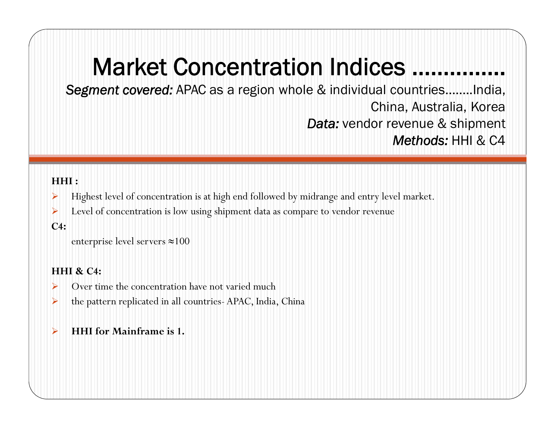### Market Concentration Indices ……………

*Segment covered:* APAC as a region whole & individual countries……..India, China, Australia, Korea *Data:* vendor revenue & shipment *Methods:* HHI & C4

### **HHI :**

- ¾Highest level of concentration is at high end followed by midrange and entry level market.
- ¾Level of concentration is low using shipment data as compare to vendor revenue

### **C4:**

```
enterprise level servers 
≈100
```
### **HHI & C4:**

- ¾Over time the concentration have not varied much
- ¾the pattern replicated in all countries- APAC, India, China

#### ¾**HHI for Mainframe is 1.**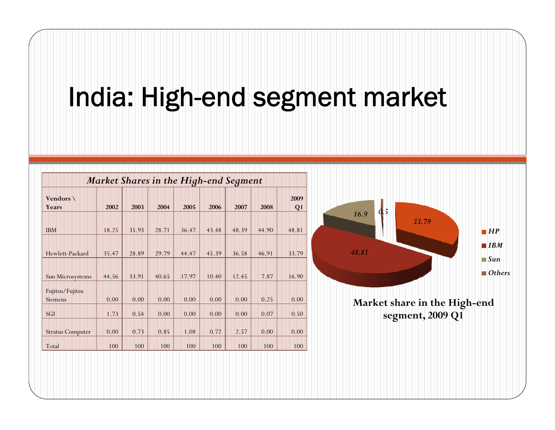### India: High-end segment market

|                           | Market Shares in the High-end Segment |       |       |       |       |       |       |                        |  |  |
|---------------------------|---------------------------------------|-------|-------|-------|-------|-------|-------|------------------------|--|--|
| Vendors \<br><b>Years</b> | 2002                                  | 2003  | 2004  | 2005  | 2006  | 2007  | 2008  | 2009<br>Q <sub>1</sub> |  |  |
|                           |                                       |       |       |       |       |       |       |                        |  |  |
| <b>IBM</b>                | 18.25                                 | 35.93 | 28.71 | 36.47 | 43.48 | 48.39 | 44.90 | 48.81                  |  |  |
| Hewlett-Packard           | 35.47                                 | 28.89 | 29.79 | 44.47 | 45.39 | 36.58 | 46.91 | 33.79                  |  |  |
|                           |                                       |       |       |       |       |       |       |                        |  |  |
| Sun Microsystems          | 44.56                                 | 33.91 | 40.65 | 17.97 | 10.40 | 12.45 | 7.87  | 16.90                  |  |  |
| Fujitsu/Fujitsu           |                                       |       |       |       |       |       |       |                        |  |  |
| <b>Siemens</b>            | 0.00                                  | 0.00  | 0.00  | 0.00  | 0.00  | 0.00  | 0.25  | 0.00                   |  |  |
| SGI                       | 1.73                                  | 0.54  | 0.00  | 0.00  | 0.00  | 0.00  | 0.07  | 0.50                   |  |  |
| <b>Stratus Computer</b>   | 0.00                                  | 0.73  | 0.85  | 1.08  | 0.72  | 2.57  | 0.00  | 0.00                   |  |  |
| Total                     | 100                                   | 100   | 100   | 100   | 100   | 100   | 100   | 100                    |  |  |

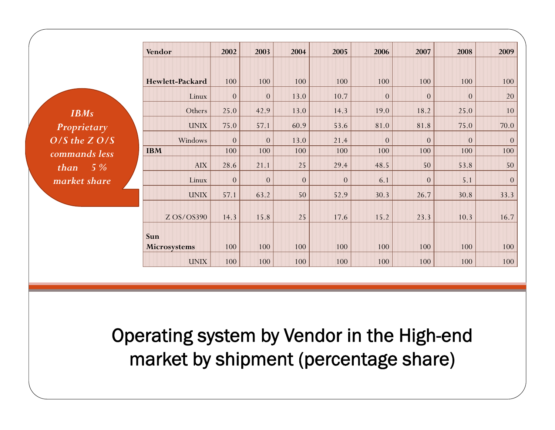|                   | Vendor                 | 2002            | 2003           | 2004           | 2005           | 2006           | 2007           | 2008           | 2009     |
|-------------------|------------------------|-----------------|----------------|----------------|----------------|----------------|----------------|----------------|----------|
|                   | <b>Hewlett-Packard</b> | 100             | 100            | 100            | 100            | 100            | 100            | 100            | 100      |
|                   | Linux                  | $\overline{0}$  | $\overline{0}$ | 13.0           | 10.7           | $\overline{0}$ | $\overline{0}$ | $\overline{0}$ | 20       |
| <b>IBMs</b>       | Others                 | 25.0            | 42.9           | 13.0           | 14.3           | 19.0           | 18.2           | 25.0           | 10       |
| Proprietary       | <b>UNIX</b>            | 75.0            | 57.1           | 60.9           | 53.6           | 81.0           | 81.8           | 75.0           | 70.0     |
| $O/S$ the $Z O/S$ | Windows                | $\overline{0}$  | $\overline{0}$ | 13.0           | 21.4           | $\Omega$       | $\overline{0}$ | $\Omega$       | $\Omega$ |
| commands less     | <b>IBM</b>             | 100             | 100            | 100            | 100            | 100            | 100            | 100            | 100      |
| $5\%$<br>than     | <b>AIX</b>             | 28.6            | 21.1           | 25             | 29.4           | 48.5           | 50             | 53.8           | 50       |
| market share      | Linux                  | $\vert 0 \vert$ | $\overline{0}$ | $\overline{0}$ | $\overline{0}$ | 6.1            | $\overline{0}$ | 5.1            | $\theta$ |
|                   | <b>UNIX</b>            | 57.1            | 63.2           | 50             | 52.9           | 30.3           | 26.7           | 30.8           | 33.3     |
|                   | Z OS/OS390             | 14.3            | 15.8           | 25             | 17.6           | 15.2           | 23.3           | 10.3           | 16.7     |
|                   | Sun<br>Microsystems    | 100             | 100            | 100            | 100            | 100            | 100            | 100            | 100      |
|                   | <b>UNIX</b>            | 100             | 100            | 100            | 100            | 100            | 100            | 100            | 100      |

Operating system by Vendor in the High-end market by shipment (percentage share)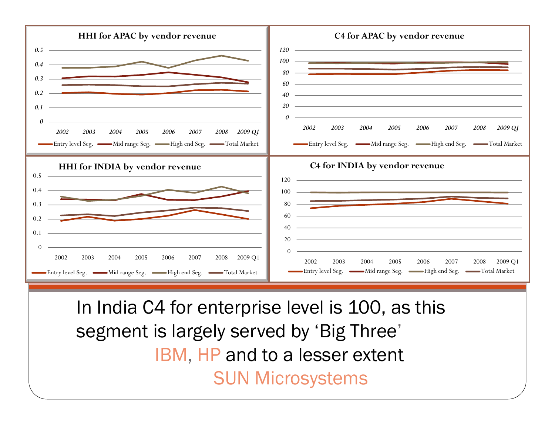

In India C4 for enterprise level is 100, as this segment is largely served by 'Big Three' IBM, HP and to a lesser extent SUN Microsystems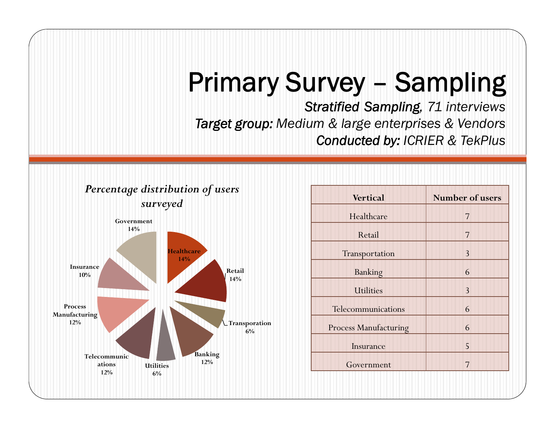### Primary Survey – Sampling

*Stratified Sampling, 71 interviews Target group: Medium & large enterprises & Vendors Conducted by: ICRIER & TekPlus*



| distribution of users                     | <b>Vertical</b>              | <b>Number of users</b> |
|-------------------------------------------|------------------------------|------------------------|
| surveyed<br>ıent                          | Healthcare                   | $\overline{7}$         |
|                                           | Retail                       | $\overline{7}$         |
| <b>Healthcare</b>                         | Transportation               | $\overline{3}$         |
| 14%<br>Retail                             | Banking                      | 6                      |
| 14%                                       | <b>Utilities</b>             | $\overline{3}$         |
|                                           | Telecommunications           | 6                      |
| Transporation<br>6%                       | <b>Process Manufacturing</b> | 6                      |
|                                           | Insurance                    | 5                      |
| <b>Banking</b><br>12%<br><b>Utilities</b> | Government                   | $\overline{7}$         |
| 6%                                        |                              |                        |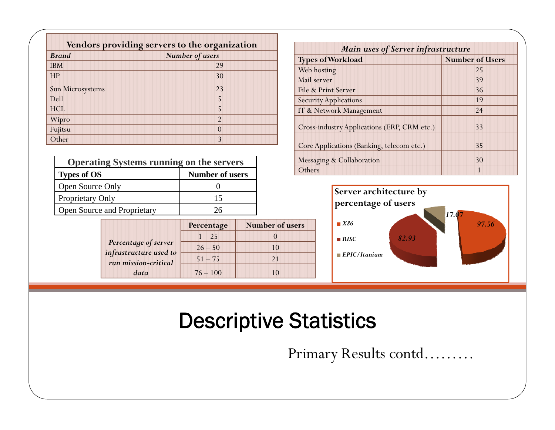| Vendors providing servers to the organization |                 |  |  |  |  |
|-----------------------------------------------|-----------------|--|--|--|--|
| <b>Brand</b>                                  | Number of users |  |  |  |  |
| <b>IBM</b>                                    | 29              |  |  |  |  |
| HP                                            | 30              |  |  |  |  |
| Sun Microsystems                              | 23              |  |  |  |  |
| Dell                                          | 5               |  |  |  |  |
| <b>HCL</b>                                    | 5               |  |  |  |  |
| Wipro                                         | $\mathfrak{D}$  |  |  |  |  |
| Fujitsu                                       | $\mathcal{O}$   |  |  |  |  |
| Other                                         | 3               |  |  |  |  |

| <b>Operating Systems running on the servers</b> |                        |
|-------------------------------------------------|------------------------|
| <b>Types of OS</b>                              | <b>Number of users</b> |
| Open Source Only                                |                        |
| Proprietary Only                                | 15                     |
| Open Source and Proprietary                     | 76                     |

|                                                | Percentage | <b>Number of users</b> |
|------------------------------------------------|------------|------------------------|
|                                                | $1 - 25$   |                        |
| Percentage of server<br>infrastructure used to | $26 - 50$  | 10                     |
| run mission-critical                           | $51 - 75$  | 21                     |
| data                                           | $76 - 100$ |                        |

| <b>Main uses of Server infrastructure</b>   |                        |  |  |  |  |  |  |
|---------------------------------------------|------------------------|--|--|--|--|--|--|
| <b>Types of Workload</b>                    | <b>Number of Users</b> |  |  |  |  |  |  |
| Web hosting                                 | 25                     |  |  |  |  |  |  |
| Mail server                                 | 39                     |  |  |  |  |  |  |
| File & Print Server                         | 36                     |  |  |  |  |  |  |
| <b>Security Applications</b>                | 19                     |  |  |  |  |  |  |
| IT & Network Management                     | 24                     |  |  |  |  |  |  |
| Cross-industry Applications (ERP, CRM etc.) | 33                     |  |  |  |  |  |  |
| Core Applications (Banking, telecom etc.)   | 35                     |  |  |  |  |  |  |
| Messaging & Collaboration                   | 30                     |  |  |  |  |  |  |
| Others                                      |                        |  |  |  |  |  |  |



### Descriptive Statistics

Primary Results contd………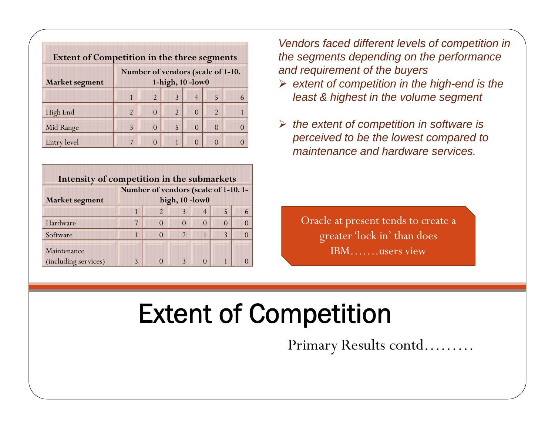| <b>Extent of Competition in the three segments</b> |                                   |                |                |                |                |   |  |  |
|----------------------------------------------------|-----------------------------------|----------------|----------------|----------------|----------------|---|--|--|
|                                                    | Number of vendors (scale of 1-10. |                |                |                |                |   |  |  |
| <b>Market segment</b>                              | 1-high, $10$ -low $0$             |                |                |                |                |   |  |  |
|                                                    |                                   | $\mathfrak{D}$ | 3              | $\overline{4}$ | 5              | 6 |  |  |
| High End                                           | $\mathfrak{D}$                    |                | $\mathfrak{D}$ | $\Omega$       | $\mathfrak{D}$ |   |  |  |
| Mid Range                                          | 3                                 | $\mathcal{L}$  | 5              | $\Omega$       | $\Omega$       |   |  |  |
| <b>Entry level</b>                                 | 7                                 |                |                |                |                |   |  |  |

| Intensity of competition in the submarkets |   |                                     |                |   |   |  |
|--------------------------------------------|---|-------------------------------------|----------------|---|---|--|
|                                            |   | Number of vendors (scale of 1-10.1- |                |   |   |  |
| Market segment                             |   |                                     | high, 10-low0  |   |   |  |
|                                            |   |                                     |                | 4 |   |  |
| Hardware                                   | 7 |                                     |                |   |   |  |
| Software                                   |   | $\left( \right)$                    | $\mathfrak{D}$ |   | 2 |  |
| Maintenance<br>(including services)        |   |                                     |                |   |   |  |

*Vendors faced different levels of competition in the segments depending on the performance and requirement of the buyers* 

- **Market segment 1-high, 10 -low0** *f* ¾ *extent of competition in the high-end is the least & highest in the volume segment*
- ¾ *the extent of competition in software is i d b hl d* Entry level <sup>7</sup> <sup>0</sup> <sup>1</sup> <sup>0</sup> <sup>0</sup> <sup>0</sup> *perceived to be the lowest compared to maintenance and hardware services.*

Oracle at present tends to create a greater 'lock in' than does IBM…….users view

### Extent of Competition

Primary Results contd………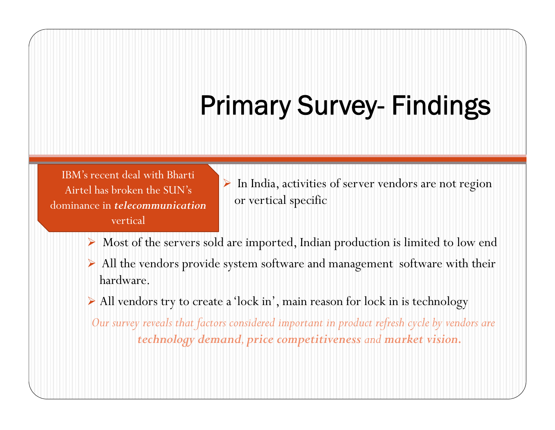# Primary Survey- Findings

IBM's recent deal with BhartiAirtel has broken the SUN's dominance in *telecommunication*vertical

- $\frac{1}{2}$  In India, activities of server vendors are not region l has broken the SUN's or vertical specific
- $\triangleright$  Most of the servers sold are imported, Indian production is limited to low end
- ¾ All the vendors provide system software and management software with their hardware.
- ¾ All vendors try to create a 'lock in', main reason for lock in is technology

*Our survey reveals that factors considered important in product refresh cycle by vendors are technology demand, price competitiveness and market vision.*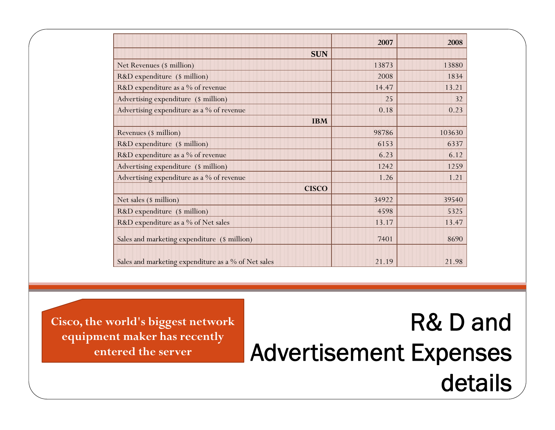|                                                     | 2007  | 2008   |
|-----------------------------------------------------|-------|--------|
| <b>SUN</b>                                          |       |        |
| Net Revenues (\$ million)                           | 13873 | 13880  |
| R&D expenditure (\$ million)                        | 2008  | 1834   |
| R&D expenditure as a % of revenue                   | 14.47 | 13.21  |
| Advertising expenditure (\$ million)                | 25    | 32     |
| Advertising expenditure as a % of revenue           | 0.18  | 0.23   |
| <b>IBM</b>                                          |       |        |
| Revenues (\$ million)                               | 98786 | 103630 |
| R&D expenditure (\$ million)                        | 6153  | 6337   |
| R&D expenditure as a % of revenue                   | 6.23  | 6.12   |
| Advertising expenditure (\$ million)                | 1242  | 1259   |
| Advertising expenditure as a % of revenue           | 1.26  | 1.21   |
| <b>CISCO</b>                                        |       |        |
| Net sales (\$ million)                              | 34922 | 39540  |
| R&D expenditure (\$ million)                        | 4598  | 5325   |
| R&D expenditure as a % of Net sales                 | 13.17 | 13.47  |
| Sales and marketing expenditure (\$ million)        | 7401  | 8690   |
| Sales and marketing expenditure as a % of Net sales | 21.19 | 21.98  |

**equipment maker has recently t d th entered the server**

### Cisco, the world's biggest network **R& D and** equipment maker has recently Advertisement Expenses details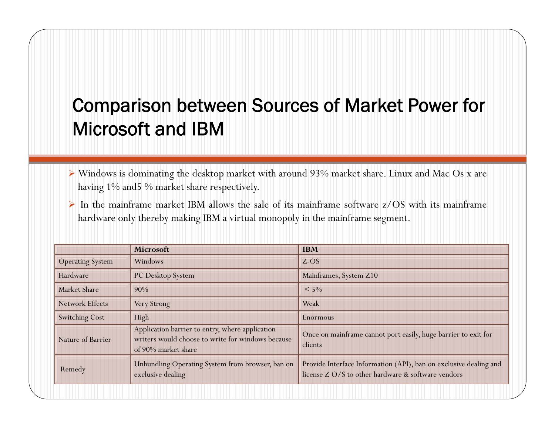### Comparison between Sources of Market Power for Microsoft and IBM

- ¾ Windows is dominating the desktop market with around 93% market share. Linux and Mac Os <sup>x</sup> are having 1% and5 % market share respectively.
- $\triangleright$  In the mainframe market IBM allows the sale of its mainframe software z/OS with its mainframe hardware only thereby making IBM <sup>a</sup> virtual monopoly in the mainframe segment.

|                         | Microsoft                                                                                                                   | <b>IBM</b>                                                                                                              |  |
|-------------------------|-----------------------------------------------------------------------------------------------------------------------------|-------------------------------------------------------------------------------------------------------------------------|--|
| <b>Operating System</b> | Windows                                                                                                                     | $Z$ -OS                                                                                                                 |  |
| Hardware                | PC Desktop System                                                                                                           | Mainframes, System Z10                                                                                                  |  |
| <b>Market Share</b>     | 90%                                                                                                                         | $< 5\%$                                                                                                                 |  |
| <b>Network Effects</b>  | Very Strong                                                                                                                 | Weak                                                                                                                    |  |
| <b>Switching Cost</b>   | High                                                                                                                        | <b>Enormous</b>                                                                                                         |  |
| Nature of Barrier       | Application barrier to entry, where application<br>writers would choose to write for windows because<br>of 90% market share | Once on mainframe cannot port easily, huge barrier to exit for<br>clients                                               |  |
| Remedy                  | Unbundling Operating System from browser, ban on<br>exclusive dealing                                                       | Provide Interface Information (API), ban on exclusive dealing and<br>license Z O/S to other hardware & software vendors |  |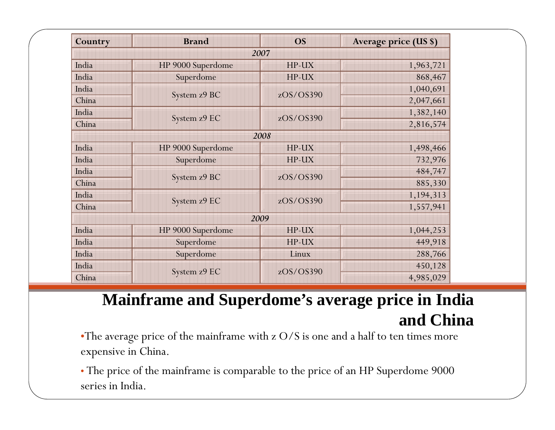| Country | <b>Brand</b>      | <b>OS</b> | Average price (US \$) |  |  |
|---------|-------------------|-----------|-----------------------|--|--|
| 2007    |                   |           |                       |  |  |
| India   | HP 9000 Superdome | HP-UX     | 1,963,721             |  |  |
| India   | Superdome         | HP-UX     | 868,467               |  |  |
| India   |                   | zOS/OS390 | 1,040,691             |  |  |
| China   | System z9 BC      |           | 2,047,661             |  |  |
| India   |                   | zOS/OS390 | 1,382,140             |  |  |
| China   | System z9 EC      |           | 2,816,574             |  |  |
| 2008    |                   |           |                       |  |  |
| India   | HP 9000 Superdome | HP-UX     | 1,498,466             |  |  |
| India   | Superdome         | HP-UX     | 732,976               |  |  |
| India   | System z9 BC      | zOS/OS390 | 484,747               |  |  |
| China   |                   |           | 885,330               |  |  |
| India   |                   | zOS/OS390 | 1,194,313             |  |  |
| China   | System z9 EC      |           | 1,557,941             |  |  |
| 2009    |                   |           |                       |  |  |
| India   | HP 9000 Superdome | HP-UX     | 1,044,253             |  |  |
| India   | Superdome         | HP-UX     | 449,918               |  |  |
| India   | Superdome         | Linux     | 288,766               |  |  |
| India   |                   | zOS/OS390 | 450,128               |  |  |
| China   | System z9 EC      |           | 4,985,029             |  |  |

### **Mainframe and Superdome's average price in India and China**

•The average price of the mainframe with z O/S is one and a half to ten times more expensive in China.

• The price of the mainframe is comparable to the price of an HP Superdome 9000 series in India.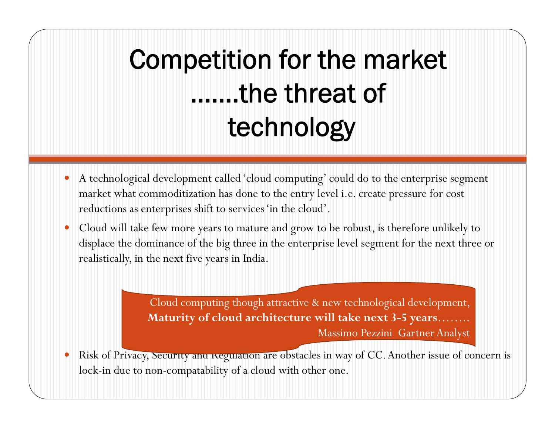# Competition for the market …….the threat of technology

- $\bullet$  A technological development called 'cloud computing' could do to the enterprise segment market what commoditization has done to the entry level i.e. create pressure for cost reductions as enterprises shift to services 'in the cloud'.
- $\bullet$  Cloud will take few more years to mature and grow to be robust, is therefore unlikely to displace the dominance of the big three in the enterprise level segment for the next three or realistically, in the next five years in India.

Cloud computing though attractive & new technological development, **Maturity of cloud architecture will take next 3-5 years**…….. Massimo Pezzini Gartner Analyst

 $\bullet$ Risk of Privacy, Security and Regulation are obstacles in way of CC. Another issue of concern is lock-in due to non-compatability of a cloud with other one.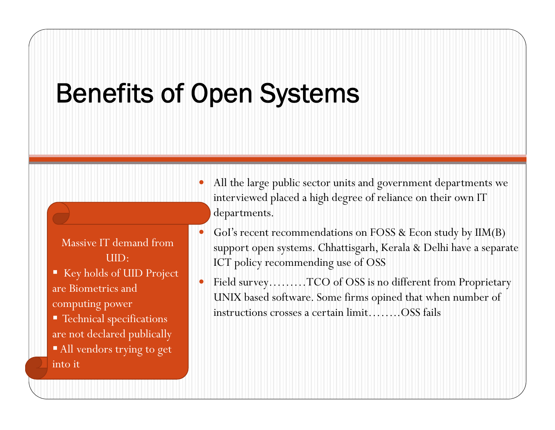### Benefits of Open Systems

- Massive IT demand from UID:
- Key holds of UID Project are Biometrics and
- **Technical specifications** are not declared publically
- All vendors trying to get into it
- $\bullet$ • All the large public sector units and government departments we interviewed placed a high degree of reliance on their own IT departments.
- $\bullet$ GoI's recent recommendations on FOSS & Econ study by IIM(B) support open systems. Chhattisgarh, Kerala & Delhi have a separate ICT policy recommending use of OSS
- $\bullet$  Field survey………TCO of OSS is no different from Proprietary UNIX based software. Some firms opined that when number of of instructions crosses a certain limit……..OSS fails<br>computing power instructions crosses a certain limit……..OSS fails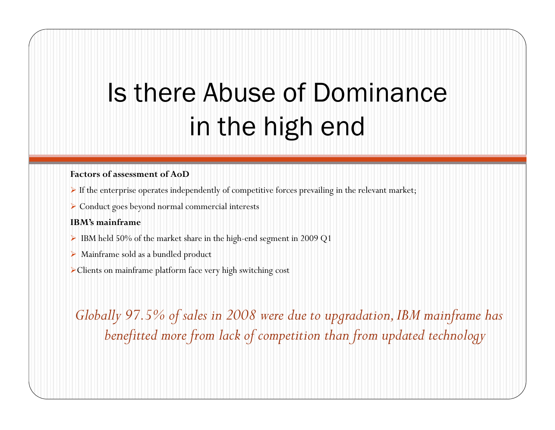## Is there Abuse of Dominance in the high end

#### **Factors of assessment of AoD**

- $\blacktriangleright$  If the enterprise operates independently of competitive forces prevailing in the relevant market;
- ¾ Conduct goes beyond normal commercial interests

#### **IBM's mainframe**

- $\triangleright$  IBM held 50% of the market share in the high-end segment in 2009 Q1
- ¾ Mainframe sold as a bundled product
- <sup>¾</sup>Clients on mainframe platform face very high switching cost

*Globally 97.5% of sales in 2008 were due to upgradation, IBM mainframe has benefitted more from lack of competition than from updated technology*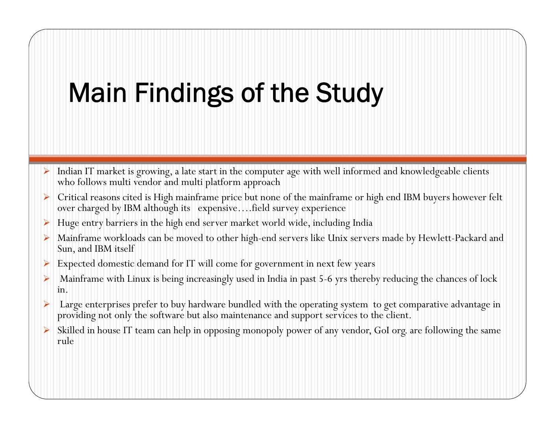### Main Findings of the Study

- ¾ Indian IT market is growing, a late start in the computer age with well informed and knowledgeable clients who follows multi vendor and multi platform approach
- ¾ Critical reasons cited is High mainframe price but none of the mainframe or high end IBM buyers however felt over charged by IBM although its expensive….field survey experience
- ¾Huge entry barriers in the high end server market world wide, including India
- ¾> Mainframe workloads can be moved to other high-end servers like Unix servers made by Hewlett-Packard and Sun, and IBM itself
- ¾Expected domestic demand for IT will come for government in next few years
- ¾ Mainframe with Linux is being increasingly used in India in past 5-6 yrs thereby reducing the chances of lock in.
- ¾ Large enterprises prefer to buy hardware bundled with the operating system to get comparative advantage in providing not only the software but also maintenance and support services to the client.
- ¾ Skilled in house IT team can help in opposing monopoly power of any vendor, GoI org. are following the same rule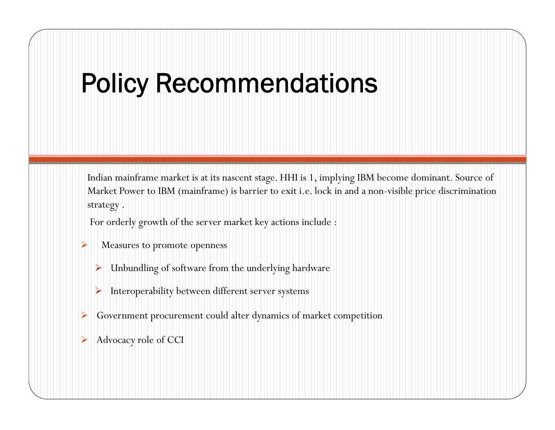### Policy Recommendations

Indian mainframe market is at its nascent stage. HHI is 1, implying IBM become dominant. Source of Market Power to IBM (mainframe) is barrier to exit i.e. lock in and a non-visible price discrimination strategy .

For orderly growth of the server market key actions include :

- ¾Measures to promote openness
	- ¾ Unbundling of software from the underlying hardware
	- $\blacktriangleright$ Interoperability between different server systems
- ¾Government procurement could alter dynamics of market competition
- ¾Advocacy role of CCI